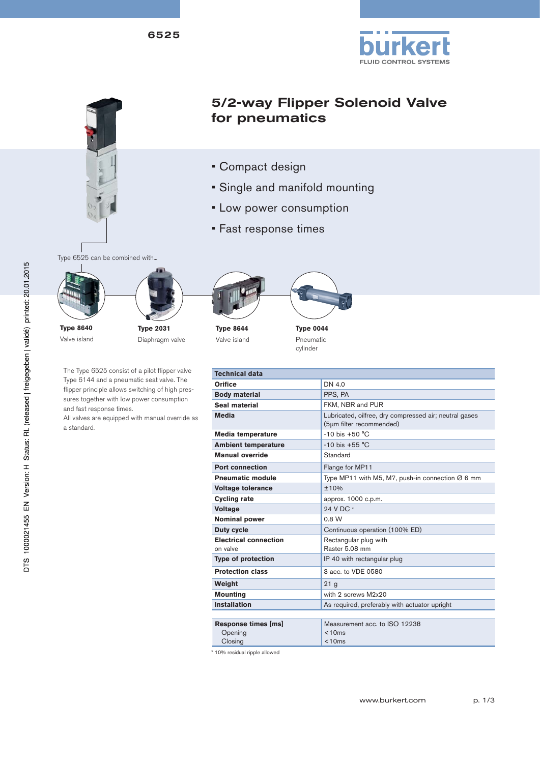



# 5/2-way Flipper Solenoid Valve for pneumatics

- Compact design
- Single and manifold mounting
- Low power consumption
- Fast response times

Type 6525 can be combined with...



Valve island





**Type 8644** Valve island



cylinder

The Type 6525 consist of a pilot flipper valve Type 6144 and a pneumatic seat valve. The flipper principle allows switching of high pressures together with low power consumption and fast response times.

All valves are equipped with manual override as a standard.

| Technical data                            |                                                                                    |  |  |  |  |
|-------------------------------------------|------------------------------------------------------------------------------------|--|--|--|--|
| <b>Orifice</b>                            | DN 4.0                                                                             |  |  |  |  |
| <b>Body material</b>                      | PPS, PA                                                                            |  |  |  |  |
| Seal material                             | FKM, NBR and PUR                                                                   |  |  |  |  |
| <b>Media</b>                              | Lubricated, oilfree, dry compressed air; neutral gases<br>(5µm filter recommended) |  |  |  |  |
| <b>Media temperature</b>                  | $-10$ bis $+50$ °C                                                                 |  |  |  |  |
| <b>Ambient temperature</b>                | $-10$ bis $+55$ °C                                                                 |  |  |  |  |
| <b>Manual override</b>                    | Standard                                                                           |  |  |  |  |
| <b>Port connection</b>                    | Flange for MP11                                                                    |  |  |  |  |
| <b>Pneumatic module</b>                   | Type MP11 with M5, M7, push-in connection $\varnothing$ 6 mm                       |  |  |  |  |
| <b>Voltage tolerance</b>                  | ±10%                                                                               |  |  |  |  |
| <b>Cycling rate</b>                       | approx. 1000 c.p.m.                                                                |  |  |  |  |
| <b>Voltage</b>                            | 24 V DC *                                                                          |  |  |  |  |
| Nominal power                             | 0.8 W                                                                              |  |  |  |  |
| <b>Duty cycle</b>                         | Continuous operation (100% ED)                                                     |  |  |  |  |
| <b>Electrical connection</b><br>on valve  | Rectangular plug with<br>Raster 5.08 mm                                            |  |  |  |  |
| <b>Type of protection</b>                 | IP 40 with rectangular plug                                                        |  |  |  |  |
| <b>Protection class</b>                   | 3 acc. to VDE 0580                                                                 |  |  |  |  |
| Weight                                    | 21 <sub>g</sub>                                                                    |  |  |  |  |
| <b>Mounting</b>                           | with 2 screws M2x20                                                                |  |  |  |  |
| <b>Installation</b>                       | As required, preferably with actuator upright                                      |  |  |  |  |
|                                           |                                                                                    |  |  |  |  |
| Response times [ms]<br>Opening<br>Closing | Measurement acc. to ISO 12238<br>< 10ms<br>< 10ms                                  |  |  |  |  |

\* 10% residual ripple allowed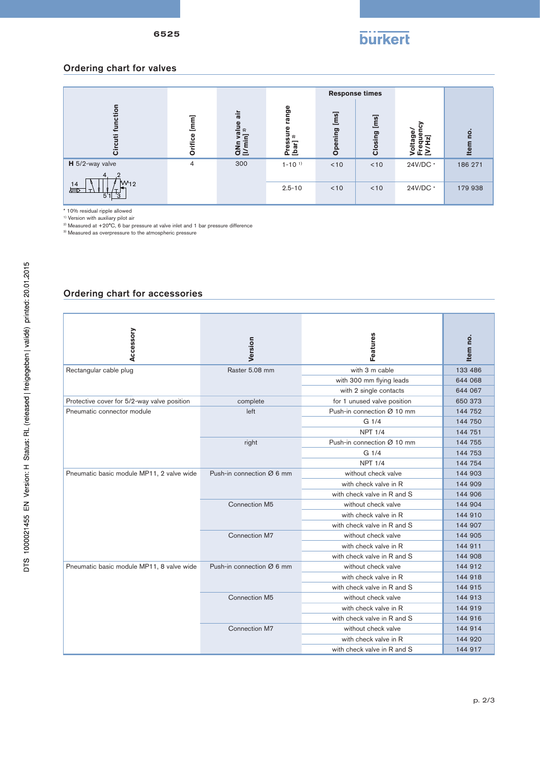

## Ordering chart for valves

|                              |                                                                 |                                                     |                                      | <b>Response times</b>      |               |                                  |                   |
|------------------------------|-----------------------------------------------------------------|-----------------------------------------------------|--------------------------------------|----------------------------|---------------|----------------------------------|-------------------|
| O<br>ت                       | $\begin{bmatrix} \mathsf{m}\mathsf{m} \end{bmatrix}$<br>Orifice | ā<br>ralue<br>$\frac{1}{2}$<br>⋍<br>$\bar{\vec{a}}$ | nge<br>ಸ<br>5<br>ล<br>h<br>Pre<br>La | $\overline{m}$<br>ဥ<br>Ope | ms<br>Closing | ω<br>ಠಾ<br>៊<br>σ<br><u>Ş</u> Ë∑ | ρ.<br><b>Item</b> |
| H 5/2-way valve              | 4                                                               | 300                                                 | $1 - 10^{-1}$                        | < 10                       | < 10          | 24V/DC *                         | 186 271           |
| $W_{12}$<br>14<br>巨<br>5'1'3 |                                                                 |                                                     | $2.5 - 10$                           | < 10                       | < 10          | 24V/DC *                         | 179 938           |

\* 10% residual ripple allowed 1) Version with auxiliary pilot air

<sup>2)</sup> Measured at +20°C, 6 bar pressure at valve inlet and 1 bar pressure difference<br><sup>3)</sup> Measured as overpressure to the atmospheric pressure

#### Ordering chart for accessories

| Accessory                                   | Version                   | Features                    | Item no. |
|---------------------------------------------|---------------------------|-----------------------------|----------|
|                                             |                           |                             |          |
| Rectangular cable plug                      | Raster 5.08 mm            | with 3 m cable              | 133 486  |
|                                             |                           | with 300 mm flying leads    | 644 068  |
|                                             |                           | with 2 single contacts      | 644 067  |
| Protective cover for 5/2-way valve position | complete                  | for 1 unused valve position | 650 373  |
| Pneumatic connector module                  | left                      | Push-in connection Ø 10 mm  | 144 752  |
|                                             |                           | G 1/4                       | 144 750  |
|                                             |                           | <b>NPT 1/4</b>              | 144 751  |
|                                             | right                     | Push-in connection Ø 10 mm  | 144 755  |
|                                             |                           | G <sub>1/4</sub>            | 144 753  |
|                                             |                           | <b>NPT 1/4</b>              | 144 754  |
| Pneumatic basic module MP11, 2 valve wide   | Push-in connection Ø 6 mm | without check valve         | 144 903  |
|                                             |                           | with check valve in R       | 144 909  |
|                                             |                           | with check valve in R and S | 144 906  |
|                                             | Connection M5             | without check valve         | 144 904  |
|                                             |                           | with check valve in R       | 144 910  |
|                                             |                           | with check valve in R and S | 144 907  |
|                                             | <b>Connection M7</b>      | without check valve         | 144 905  |
|                                             |                           | with check valve in R       | 144 911  |
|                                             |                           | with check valve in R and S | 144 908  |
| Pneumatic basic module MP11, 8 valve wide   | Push-in connection Ø 6 mm | without check valve         | 144 912  |
|                                             |                           | with check valve in R       | 144 918  |
|                                             |                           | with check valve in R and S | 144 915  |
|                                             | Connection M5             | without check valve         | 144 913  |
|                                             |                           | with check valve in R       | 144 919  |
|                                             |                           | with check valve in R and S | 144 916  |
|                                             | Connection M7             | without check valve         | 144 914  |
|                                             |                           | with check valve in R       | 144 920  |
|                                             |                           | with check valve in R and S | 144 917  |